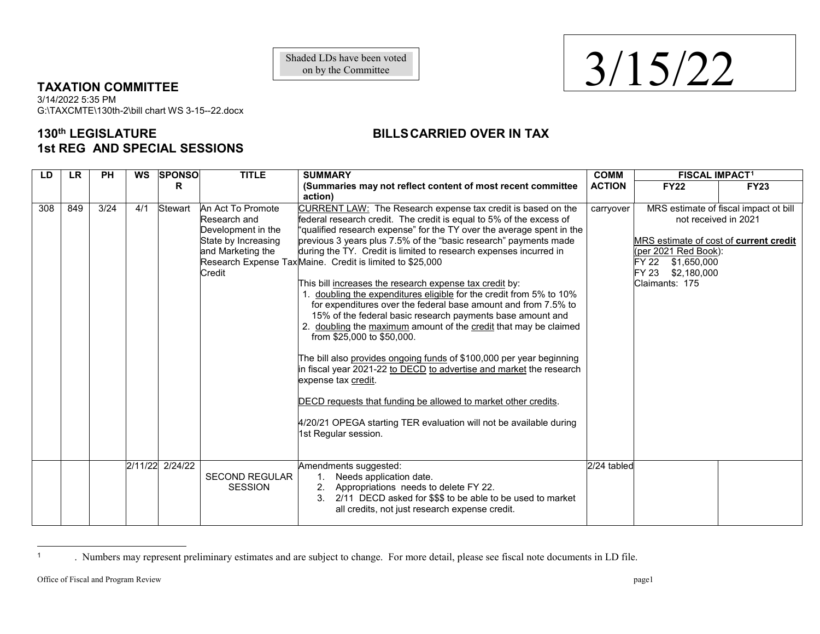on by the Committee

## **TAXATION COMMITTEE**

3/14/2022 5:35 PM G:\TAXCMTE\130th-2\bill chart WS 3-15--22.docx

## **130th LEGISLATURE BILLSCARRIED OVER IN TAX 1st REG AND SPECIAL SESSIONS**

| LD  | <b>LR</b> | <b>PH</b> | WS  | <b>SPONSO</b>   | <b>TITLE</b>                                                                                                  | <b>SUMMARY</b>                                                                                                                                                                                                                                                                                                                                                                                                                                                                                                                                                                                                                                                                                                                                                                                                                                                                                                                                                                                                                                                                                                               | <b>COMM</b>   | <b>FISCAL IMPACT1</b>                                                                                                            |                                                               |
|-----|-----------|-----------|-----|-----------------|---------------------------------------------------------------------------------------------------------------|------------------------------------------------------------------------------------------------------------------------------------------------------------------------------------------------------------------------------------------------------------------------------------------------------------------------------------------------------------------------------------------------------------------------------------------------------------------------------------------------------------------------------------------------------------------------------------------------------------------------------------------------------------------------------------------------------------------------------------------------------------------------------------------------------------------------------------------------------------------------------------------------------------------------------------------------------------------------------------------------------------------------------------------------------------------------------------------------------------------------------|---------------|----------------------------------------------------------------------------------------------------------------------------------|---------------------------------------------------------------|
|     |           |           |     | R               |                                                                                                               | (Summaries may not reflect content of most recent committee<br>action)                                                                                                                                                                                                                                                                                                                                                                                                                                                                                                                                                                                                                                                                                                                                                                                                                                                                                                                                                                                                                                                       | <b>ACTION</b> | <b>FY22</b>                                                                                                                      | <b>FY23</b>                                                   |
| 308 | 849       | 3/24      | 4/1 | Stewart         | An Act To Promote<br>Research and<br>Development in the<br>State by Increasing<br>and Marketing the<br>Credit | CURRENT LAW: The Research expense tax credit is based on the<br>federal research credit. The credit is equal to 5% of the excess of<br>"qualified research expense" for the TY over the average spent in the<br>previous 3 years plus 7.5% of the "basic research" payments made<br>during the TY. Credit is limited to research expenses incurred in<br>Research Expense Tax Maine. Credit is limited to \$25,000<br>This bill increases the research expense tax credit by:<br>1. doubling the expenditures eligible for the credit from 5% to 10%<br>for expenditures over the federal base amount and from 7.5% to<br>15% of the federal basic research payments base amount and<br>2. doubling the maximum amount of the credit that may be claimed<br>from \$25,000 to \$50,000.<br>The bill also provides ongoing funds of \$100,000 per year beginning<br>in fiscal year 2021-22 to DECD to advertise and market the research<br>expense tax credit.<br>DECD requests that funding be allowed to market other credits.<br>4/20/21 OPEGA starting TER evaluation will not be available during<br>1st Regular session. | carryover     | MRS estimate of cost of current credit<br>(per 2021 Red Book):<br>FY 22<br>\$1,650,000<br>FY 23<br>\$2,180,000<br>Claimants: 175 | MRS estimate of fiscal impact ot bill<br>not received in 2021 |
|     |           |           |     | 2/11/22 2/24/22 | <b>SECOND REGULAR</b><br><b>SESSION</b>                                                                       | Amendments suggested:<br>$\mathbf{1}$ .<br>Needs application date.<br>Appropriations needs to delete FY 22.<br>2.<br>2/11 DECD asked for \$\$\$ to be able to be used to market<br>3 <sub>1</sub><br>all credits, not just research expense credit.                                                                                                                                                                                                                                                                                                                                                                                                                                                                                                                                                                                                                                                                                                                                                                                                                                                                          | 2/24 tabled   |                                                                                                                                  |                                                               |

<sup>1</sup> . Numbers may represent preliminary estimates and are subject to change. For more detail, please see fiscal note documents in LD file.

 $\overline{a}$ 

<span id="page-0-0"></span>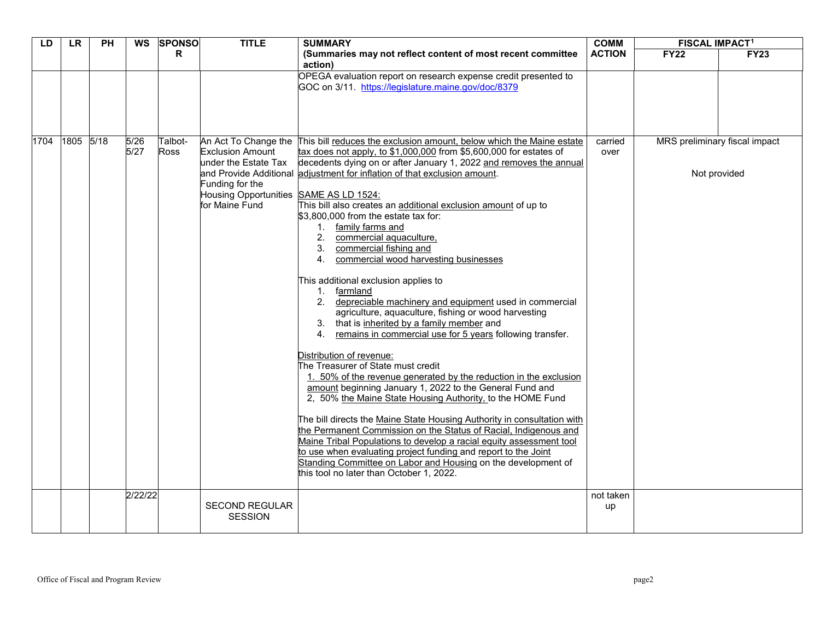| LD   | <b>LR</b> | <b>PH</b> | WS           | <b>SPONSO</b>          | <b>TITLE</b>                                                                                                                                           | <b>SUMMARY</b>                                                                                                                                                                                                                                                                                                                                                                                                                                                                                                                                                                                                                                                                                                                                                                                                                                                                                                                                                                                                                                                                                                                                                                                                                                                                                                                                                                                                                                                                                                 | <b>COMM</b>     | <b>FISCAL IMPACT<sup>1</sup></b> |                                               |
|------|-----------|-----------|--------------|------------------------|--------------------------------------------------------------------------------------------------------------------------------------------------------|----------------------------------------------------------------------------------------------------------------------------------------------------------------------------------------------------------------------------------------------------------------------------------------------------------------------------------------------------------------------------------------------------------------------------------------------------------------------------------------------------------------------------------------------------------------------------------------------------------------------------------------------------------------------------------------------------------------------------------------------------------------------------------------------------------------------------------------------------------------------------------------------------------------------------------------------------------------------------------------------------------------------------------------------------------------------------------------------------------------------------------------------------------------------------------------------------------------------------------------------------------------------------------------------------------------------------------------------------------------------------------------------------------------------------------------------------------------------------------------------------------------|-----------------|----------------------------------|-----------------------------------------------|
|      |           |           |              | R.                     |                                                                                                                                                        | (Summaries may not reflect content of most recent committee<br>action)                                                                                                                                                                                                                                                                                                                                                                                                                                                                                                                                                                                                                                                                                                                                                                                                                                                                                                                                                                                                                                                                                                                                                                                                                                                                                                                                                                                                                                         | <b>ACTION</b>   | <b>FY22</b>                      | <b>FY23</b>                                   |
|      |           |           |              |                        |                                                                                                                                                        | OPEGA evaluation report on research expense credit presented to<br>GOC on 3/11. https://legislature.maine.gov/doc/8379                                                                                                                                                                                                                                                                                                                                                                                                                                                                                                                                                                                                                                                                                                                                                                                                                                                                                                                                                                                                                                                                                                                                                                                                                                                                                                                                                                                         |                 |                                  |                                               |
| 1704 | 1805 5/18 |           | 5/26<br>5/27 | Talbot-<br><b>Ross</b> | An Act To Change the<br><b>Exclusion Amount</b><br>under the Estate Tax<br>Funding for the<br>Housing Opportunities SAME AS LD 1524:<br>for Maine Fund | This bill reduces the exclusion amount, below which the Maine estate<br>tax does not apply, to $$1,000,000$ from $$5,600,000$ for estates of<br>decedents dying on or after January 1, 2022 and removes the annual<br>and Provide Additional adjustment for inflation of that exclusion amount.<br>This bill also creates an additional exclusion amount of up to<br>\$3,800,000 from the estate tax for:<br>1. family farms and<br>commercial aquaculture,<br>commercial fishing and<br>3.<br>commercial wood harvesting businesses<br>4.<br>This additional exclusion applies to<br>1. farmland<br>2. depreciable machinery and equipment used in commercial<br>agriculture, aquaculture, fishing or wood harvesting<br>3. that is inherited by a family member and<br>remains in commercial use for 5 years following transfer.<br>4.<br>Distribution of revenue:<br>The Treasurer of State must credit<br>1. 50% of the revenue generated by the reduction in the exclusion<br>amount beginning January 1, 2022 to the General Fund and<br>2, 50% the Maine State Housing Authority, to the HOME Fund<br>The bill directs the Maine State Housing Authority in consultation with<br>the Permanent Commission on the Status of Racial, Indigenous and<br>Maine Tribal Populations to develop a racial equity assessment tool<br>to use when evaluating project funding and report to the Joint<br>Standing Committee on Labor and Housing on the development of<br>this tool no later than October 1, 2022. | carried<br>over |                                  | MRS preliminary fiscal impact<br>Not provided |
|      |           |           | 2/22/22      |                        | <b>SECOND REGULAR</b><br><b>SESSION</b>                                                                                                                |                                                                                                                                                                                                                                                                                                                                                                                                                                                                                                                                                                                                                                                                                                                                                                                                                                                                                                                                                                                                                                                                                                                                                                                                                                                                                                                                                                                                                                                                                                                | not taken<br>up |                                  |                                               |